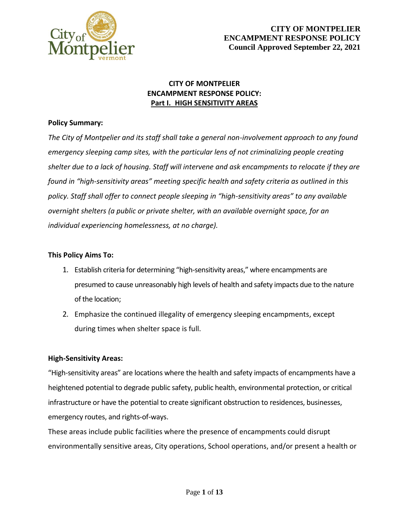

### **CITY OF MONTPELIER ENCAMPMENT RESPONSE POLICY: Part I. HIGH SENSITIVITY AREAS**

### **Policy Summary:**

*The City of Montpelier and its staff shall take a general non-involvement approach to any found emergency sleeping camp sites, with the particular lens of not criminalizing people creating shelter due to a lack of housing. Staff will intervene and ask encampments to relocate if they are found in "high-sensitivity areas" meeting specific health and safety criteria as outlined in this policy. Staff shall offer to connect people sleeping in "high-sensitivity areas" to any available overnight shelters (a public or private shelter, with an available overnight space, for an individual experiencing homelessness, at no charge).*

### **This Policy Aims To:**

- 1. Establish criteria for determining "high-sensitivity areas," where encampments are presumed to cause unreasonably high levels of health and safety impacts due to the nature of the location;
- 2. Emphasize the continued illegality of emergency sleeping encampments, except during times when shelter space is full.

### **High-Sensitivity Areas:**

"High-sensitivity areas" are locations where the health and safety impacts of encampments have a heightened potential to degrade public safety, public health, environmental protection, or critical infrastructure or have the potential to create significant obstruction to residences, businesses, emergency routes, and rights-of-ways.

These areas include public facilities where the presence of encampments could disrupt environmentally sensitive areas, City operations, School operations, and/or present a health or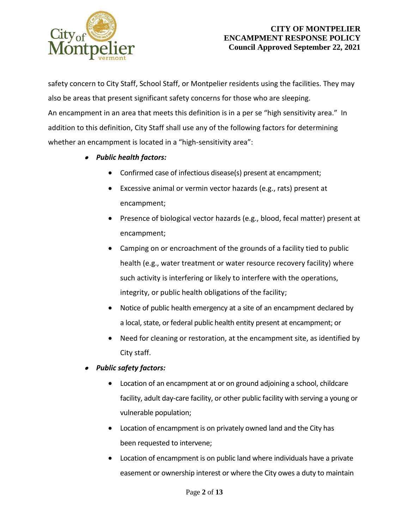

safety concern to City Staff, School Staff, or Montpelier residents using the facilities. They may also be areas that present significant safety concerns for those who are sleeping. An encampment in an area that meets this definition is in a per se "high sensitivity area." In addition to this definition, City Staff shall use any of the following factors for determining whether an encampment is located in a "high-sensitivity area":

- *Public health factors:*
	- Confirmed case of infectious disease(s) present at encampment;
	- Excessive animal or vermin vector hazards (e.g., rats) present at encampment;
	- Presence of biological vector hazards (e.g., blood, fecal matter) present at encampment;
	- Camping on or encroachment of the grounds of a facility tied to public health (e.g., water treatment or water resource recovery facility) where such activity is interfering or likely to interfere with the operations, integrity, or public health obligations of the facility;
	- Notice of public health emergency at a site of an encampment declared by a local, state, or federal public health entity present at encampment; or
	- Need for cleaning or restoration, at the encampment site, as identified by City staff.

● *Public safety factors:*

- Location of an encampment at or on ground adjoining a school, childcare facility, adult day-care facility, or other public facility with serving a young or vulnerable population;
- Location of encampment is on privately owned land and the City has been requested to intervene;
- Location of encampment is on public land where individuals have a private easement or ownership interest or where the City owes a duty to maintain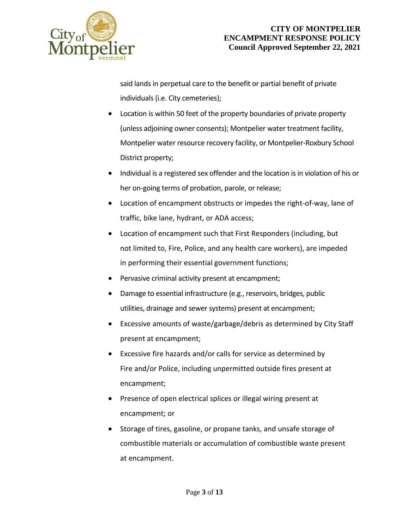

said lands in perpetual care to the benefit or partial benefit of private individuals (i.e. City cemeteries);

- Location is within 50 feet of the property boundaries of private property (unless adjoining owner consents); Montpelier water treatment facility, Montpelier water resource recovery facility, or Montpelier-Roxbury School District property;
- Individual is a registered sex offender and the location is in violation of his or her on-going terms of probation, parole, or release;
- Location of encampment obstructs or impedes the right-of-way, lane of traffic, bike lane, hydrant, or ADA access;
- Location of encampment such that First Responders (including, but not limited to, Fire, Police, and any health care workers), are impeded in performing their essential government functions;
- Pervasive criminal activity present at encampment;
- Damage to essential infrastructure (e.g., reservoirs, bridges, public utilities, drainage and sewer systems) present at encampment;
- Excessive amounts of waste/garbage/debris as determined by City Staff present at encampment;
- Excessive fire hazards and/or calls for service as determined by Fire and/or Police, including unpermitted outside fires present at encampment;
- Presence of open electrical splices or illegal wiring present at encampment; or
- Storage of tires, gasoline, or propane tanks, and unsafe storage of combustible materials or accumulation of combustible waste present at encampment.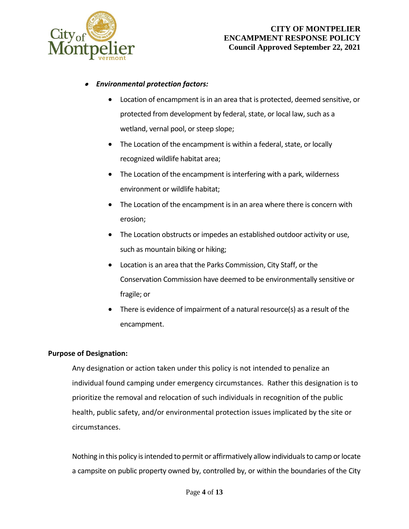

#### . *Environmental protection factors:*

- Location of encampment is in an area that is protected, deemed sensitive, or protected from development by federal, state, or local law, such as a wetland, vernal pool, or steep slope;
- The Location of the encampment is within a federal, state, or locally recognized wildlife habitat area;
- The Location of the encampment is interfering with a park, wilderness environment or wildlife habitat;
- The Location of the encampment is in an area where there is concern with erosion;
- The Location obstructs or impedes an established outdoor activity or use, such as mountain biking or hiking;
- Location is an area that the Parks Commission, City Staff, or the Conservation Commission have deemed to be environmentally sensitive or fragile; or
- There is evidence of impairment of a natural resource(s) as a result of the encampment.

### **Purpose of Designation:**

Any designation or action taken under this policy is not intended to penalize an individual found camping under emergency circumstances. Rather this designation is to prioritize the removal and relocation of such individuals in recognition of the public health, public safety, and/or environmental protection issues implicated by the site or circumstances.

Nothing in this policy is intended to permit or affirmatively allow individuals to camp or locate a campsite on public property owned by, controlled by, or within the boundaries of the City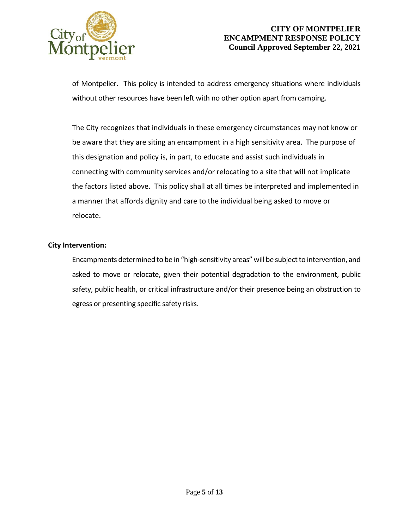

of Montpelier. This policy is intended to address emergency situations where individuals without other resources have been left with no other option apart from camping.

The City recognizes that individuals in these emergency circumstances may not know or be aware that they are siting an encampment in a high sensitivity area. The purpose of this designation and policy is, in part, to educate and assist such individuals in connecting with community services and/or relocating to a site that will not implicate the factors listed above. This policy shall at all times be interpreted and implemented in a manner that affords dignity and care to the individual being asked to move or relocate.

### **City Intervention:**

Encampments determined to be in "high-sensitivity areas" will be subject to intervention, and asked to move or relocate, given their potential degradation to the environment, public safety, public health, or critical infrastructure and/or their presence being an obstruction to egress or presenting specific safety risks.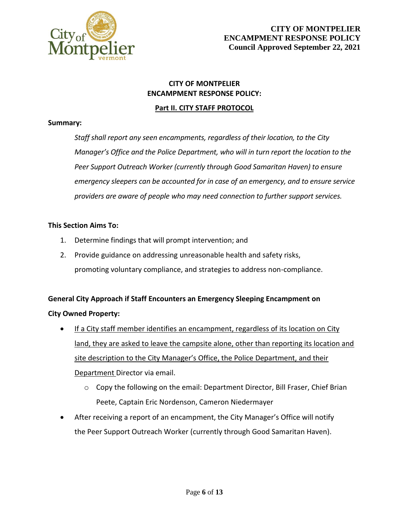

## **CITY OF MONTPELIER ENCAMPMENT RESPONSE POLICY:**

### **Part II. CITY STAFF PROTOCOL**

### **Summary:**

*Staff shall report any seen encampments, regardless of their location, to the City Manager's Office and the Police Department, who will in turn report the location to the Peer Support Outreach Worker (currently through Good Samaritan Haven) to ensure emergency sleepers can be accounted for in case of an emergency, and to ensure service providers are aware of people who may need connection to further support services.*

### **This Section Aims To:**

- 1. Determine findings that will prompt intervention; and
- 2. Provide guidance on addressing unreasonable health and safety risks, promoting voluntary compliance, and strategies to address non-compliance.

# **General City Approach if Staff Encounters an Emergency Sleeping Encampment on City Owned Property:**

- If a City staff member identifies an encampment, regardless of its location on City land, they are asked to leave the campsite alone, other than reporting its location and site description to the City Manager's Office, the Police Department, and their Department Director via email.
	- o Copy the following on the email: Department Director, Bill Fraser, Chief Brian Peete, Captain Eric Nordenson, Cameron Niedermayer
- After receiving a report of an encampment, the City Manager's Office will notify the Peer Support Outreach Worker (currently through Good Samaritan Haven).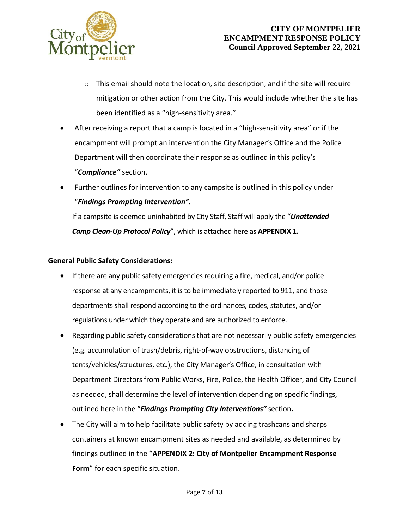

- o This email should note the location, site description, and if the site will require mitigation or other action from the City. This would include whether the site has been identified as a "high-sensitivity area."
- After receiving a report that a camp is located in a "high-sensitivity area" or if the encampment will prompt an intervention the City Manager's Office and the Police Department will then coordinate their response as outlined in this policy's "*Compliance"* section**.**
- Further outlines for intervention to any campsite is outlined in this policy under "*Findings Prompting Intervention".*

If a campsite is deemed uninhabited by City Staff, Staff will apply the "*Unattended Camp Clean-Up Protocol Policy*", which is attached here as **APPENDIX 1.**

### **General Public Safety Considerations:**

- If there are any public safety emergencies requiring a fire, medical, and/or police response at any encampments, it is to be immediately reported to 911, and those departments shall respond according to the ordinances, codes, statutes, and/or regulations under which they operate and are authorized to enforce.
- Regarding public safety considerations that are not necessarily public safety emergencies (e.g. accumulation of trash/debris, right-of-way obstructions, distancing of tents/vehicles/structures, etc.), the City Manager's Office, in consultation with Department Directors from Public Works, Fire, Police, the Health Officer, and City Council as needed, shall determine the level of intervention depending on specific findings, outlined here in the "*Findings Prompting City Interventions"* section**.**
- The City will aim to help facilitate public safety by adding trashcans and sharps containers at known encampment sites as needed and available, as determined by findings outlined in the "**APPENDIX 2: City of Montpelier Encampment Response Form**" for each specific situation.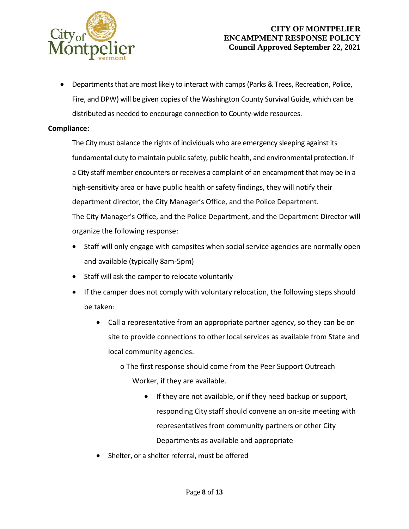

### **CITY OF MONTPELIER ENCAMPMENT RESPONSE POLICY Council Approved September 22, 2021**

 Departments that are most likely to interact with camps (Parks & Trees, Recreation, Police, Fire, and DPW) will be given copies of the Washington County Survival Guide, which can be distributed as needed to encourage connection to County-wide resources.

### **Compliance:**

The City must balance the rights of individuals who are emergency sleeping against its fundamental duty to maintain public safety, public health, and environmental protection. If a City staff member encounters or receives a complaint of an encampment that may be in a high-sensitivity area or have public health or safety findings, they will notify their department director, the City Manager's Office, and the Police Department. The City Manager's Office, and the Police Department, and the Department Director will organize the following response:

- Staff will only engage with campsites when social service agencies are normally open and available (typically 8am-5pm)
- Staff will ask the camper to relocate voluntarily
- If the camper does not comply with voluntary relocation, the following steps should be taken:
	- Call a representative from an appropriate partner agency, so they can be on site to provide connections to other local services as available from State and local community agencies.
		- o The first response should come from the Peer Support Outreach Worker, if they are available.
			- If they are not available, or if they need backup or support, responding City staff should convene an on-site meeting with representatives from community partners or other City Departments as available and appropriate
	- Shelter, or a shelter referral, must be offered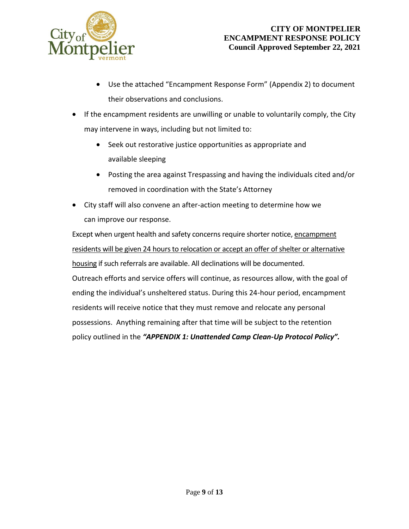

- Use the attached "Encampment Response Form" (Appendix 2) to document their observations and conclusions.
- If the encampment residents are unwilling or unable to voluntarily comply, the City may intervene in ways, including but not limited to:
	- Seek out restorative justice opportunities as appropriate and available sleeping
	- Posting the area against Trespassing and having the individuals cited and/or removed in coordination with the State's Attorney
- City staff will also convene an after-action meeting to determine how we can improve our response.

Except when urgent health and safety concerns require shorter notice, encampment residents will be given 24 hours to relocation or accept an offer of shelter or alternative housing if such referrals are available. All declinations will be documented. Outreach efforts and service offers will continue, as resources allow, with the goal of ending the individual's unsheltered status. During this 24-hour period, encampment residents will receive notice that they must remove and relocate any personal possessions. Anything remaining after that time will be subject to the retention policy outlined in the *"APPENDIX 1: Unattended Camp Clean-Up Protocol Policy".*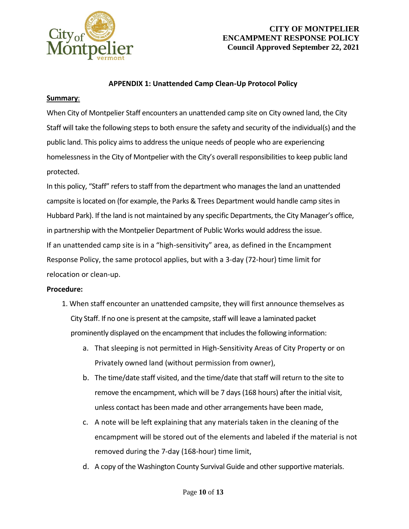

### **CITY OF MONTPELIER ENCAMPMENT RESPONSE POLICY Council Approved September 22, 2021**

### **APPENDIX 1: Unattended Camp Clean-Up Protocol Policy**

### **Summary**:

When City of Montpelier Staff encounters an unattended camp site on City owned land, the City Staff will take the following steps to both ensure the safety and security of the individual(s) and the public land. This policy aims to address the unique needs of people who are experiencing homelessness in the City of Montpelier with the City's overall responsibilities to keep public land protected.

In this policy, "Staff" refers to staff from the department who manages the land an unattended campsite is located on (for example, the Parks & Trees Department would handle camp sites in Hubbard Park). If the land is not maintained by any specific Departments, the City Manager's office, in partnership with the Montpelier Department of Public Works would address the issue. If an unattended camp site is in a "high-sensitivity" area, as defined in the Encampment Response Policy, the same protocol applies, but with a 3-day (72-hour) time limit for relocation or clean-up.

### **Procedure:**

- 1. When staff encounter an unattended campsite, they will first announce themselves as City Staff. If no one is present at the campsite, staff will leave a laminated packet prominently displayed on the encampment that includes the following information:
	- a. That sleeping is not permitted in High-Sensitivity Areas of City Property or on Privately owned land (without permission from owner),
	- b. The time/date staff visited, and the time/date that staff will return to the site to remove the encampment, which will be 7 days (168 hours) after the initial visit, unless contact has been made and other arrangements have been made,
	- c. A note will be left explaining that any materials taken in the cleaning of the encampment will be stored out of the elements and labeled if the material is not removed during the 7-day (168-hour) time limit,
	- d. A copy of the Washington County Survival Guide and other supportive materials.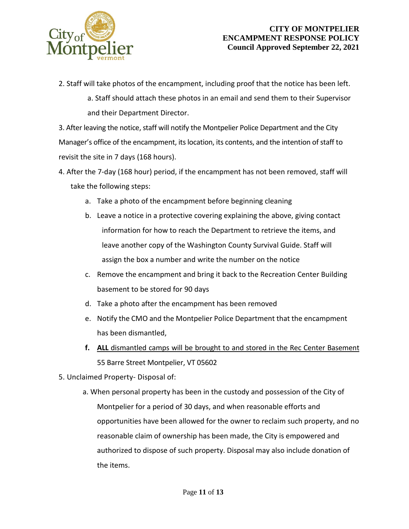

2. Staff will take photos of the encampment, including proof that the notice has been left.

a. Staff should attach these photos in an email and send them to their Supervisor and their Department Director.

3. After leaving the notice, staff will notify the Montpelier Police Department and the City Manager's office of the encampment, its location, its contents, and the intention of staff to revisit the site in 7 days (168 hours).

- 4. After the 7-day (168 hour) period, if the encampment has not been removed, staff will take the following steps:
	- a. Take a photo of the encampment before beginning cleaning
	- b. Leave a notice in a protective covering explaining the above, giving contact information for how to reach the Department to retrieve the items, and leave another copy of the Washington County Survival Guide. Staff will assign the box a number and write the number on the notice
	- c. Remove the encampment and bring it back to the Recreation Center Building basement to be stored for 90 days
	- d. Take a photo after the encampment has been removed
	- e. Notify the CMO and the Montpelier Police Department that the encampment has been dismantled,
	- **f. ALL** dismantled camps will be brought to and stored in the Rec Center Basement 55 Barre Street Montpelier, VT 05602
- 5. Unclaimed Property- Disposal of:
	- a. When personal property has been in the custody and possession of the City of Montpelier for a period of 30 days, and when reasonable efforts and opportunities have been allowed for the owner to reclaim such property, and no reasonable claim of ownership has been made, the City is empowered and authorized to dispose of such property. Disposal may also include donation of the items.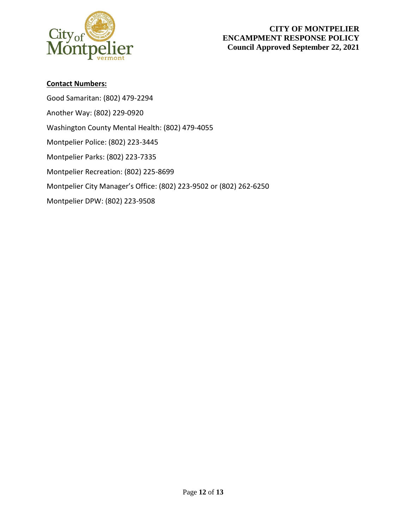

### **Contact Numbers:**

Good Samaritan: (802) 479-2294 Another Way: (802) 229-0920 Washington County Mental Health: (802) 479-4055 Montpelier Police: (802) 223-3445 Montpelier Parks: (802) 223-7335 Montpelier Recreation: (802) 225-8699 Montpelier City Manager's Office: (802) 223-9502 or (802) 262-6250 Montpelier DPW: (802) 223-9508